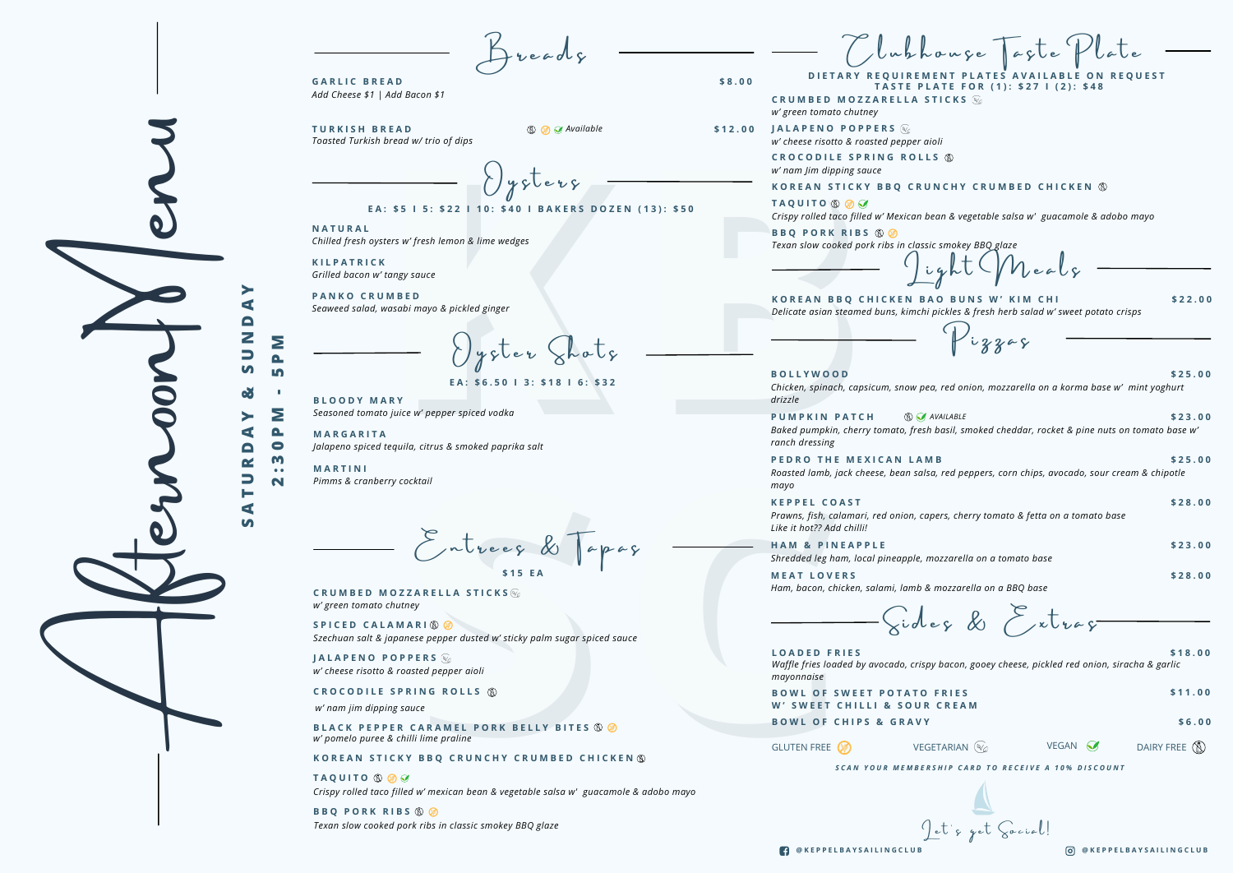#### *Delicate asian steamed buns, kimchi pickles & fresh herb salad w' sweet potato crisps* **KOREAN BBQ CHICKEN B.**

*Seasoned tomato juice w' pepper spiced vodka* **B L O O D Y M A R Y**

Entrees & Tapas **\$ 1 5 E A**

## KOREAN STICKY BBQ CRUNCHY CRUMBED CHICKEN ®

reads

*Add Cheese \$1 | Add Bacon \$1* **G A R L I C B R E A D \$ 8 . 0 0**

# **TASTE PL DIETARY REQUIREM**

 $\bigcup \gamma$ sler Shols

 $y$ sters

#### EA: \$5 | 5: \$22 | 10: \$40 | BAKERS DOZEN (13): \$50

|                   |                                 |                                                                                               |                                                     | lubhouse                                                                                                                                                        |                                   |
|-------------------|---------------------------------|-----------------------------------------------------------------------------------------------|-----------------------------------------------------|-----------------------------------------------------------------------------------------------------------------------------------------------------------------|-----------------------------------|
|                   |                                 | <b>GARLIC BREAD</b>                                                                           | \$8.00                                              | DIETARY REQUIREMENT PLATES AVAILABLE ON REQUEST<br><b>TASTE PLATE FOR (1): \$27   (2): \$48</b>                                                                 |                                   |
|                   |                                 | Add Cheese \$1   Add Bacon \$1                                                                |                                                     | <b>CRUMBED MOZZARELLA STICKS</b>                                                                                                                                |                                   |
|                   |                                 | <b>TURKISH BREAD</b><br>$\circledR$ $\circledR$ Available                                     |                                                     | w' green tomato chutney<br>\$12.00 JALAPENO POPPERS $\mathcal{C}_{0}$                                                                                           |                                   |
|                   |                                 | Toasted Turkish bread w/ trio of dips                                                         |                                                     | w' cheese risotto & roasted pepper aioli                                                                                                                        |                                   |
|                   |                                 |                                                                                               |                                                     | <b>CROCODILE SPRING ROLLS ®</b>                                                                                                                                 |                                   |
|                   |                                 | $y$ $y$ $b$ $e$ $v$ $y$                                                                       |                                                     | w' nam Jim dipping sauce<br>KOREAN STICKY BBQ CRUNCHY CRUMBED CHICKEN ®                                                                                         |                                   |
|                   |                                 | EA: \$5   5: \$22   10: \$40   BAKERS DOZEN (13): \$50                                        |                                                     | <b>TAQUITO</b> 8                                                                                                                                                |                                   |
|                   |                                 | <b>NATURAL</b>                                                                                |                                                     | Crispy rolled taco filled w' Mexican bean & vegetable salsa w' guacamole & adobo mayo                                                                           |                                   |
|                   |                                 | Chilled fresh oysters w' fresh lemon & lime wedges                                            |                                                     | <b>BBQ PORK RIBS 80</b><br>Texan slow cooked pork ribs in classic smokey BBQ glaze                                                                              |                                   |
|                   |                                 | <b>KILPATRICK</b><br>Grilled bacon w' tangy sauce                                             |                                                     |                                                                                                                                                                 |                                   |
|                   |                                 | <b>PANKO CRUMBED</b><br>Seaweed salad, wasabi mayo & pickled ginger                           |                                                     | KOREAN BBQ CHICKEN BAO BUNS W' KIM CHI<br>Delicate asian steamed buns, kimchi pickles & fresh herb salad w' sweet potato crisps                                 | \$22.00                           |
|                   | Ζ<br>Σ<br>$\Box$                |                                                                                               |                                                     |                                                                                                                                                                 |                                   |
|                   | 5<br><b>ed</b>                  | EA: \$6.50   3: \$18   6: \$32                                                                |                                                     | <b>BOLLYWOOD</b><br>Chicken, spinach, capsicum, snow pea, red onion, mozzarella on a korma base w' mint yoghurt                                                 | \$25.00                           |
|                   | Σ                               | <b>BLOODY MARY</b><br>Seasoned tomato juice w' pepper spiced vodka                            |                                                     | drizzle                                                                                                                                                         |                                   |
|                   | ≻<br><b>A</b><br>⋖<br>$\bullet$ | <b>MARGARITA</b><br>Jalapeno spiced tequila, citrus & smoked paprika salt                     |                                                     | <b>S AVAILABLE</b><br><b>PUMPKIN PATCH</b><br>Baked pumpkin, cherry tomato, fresh basil, smoked cheddar, rocket & pine nuts on tomato base w'<br>ranch dressing | \$23.00                           |
| G<br>$\mathbf{v}$ | M<br>$\bullet\bullet$<br>N      | <b>MARTINI</b><br>Pimms & cranberry cocktail                                                  |                                                     | PEDRO THE MEXICAN LAMB<br>Roasted lamb, jack cheese, bean salsa, red peppers, corn chips, avocado, sour cream & chipotle<br>тауо                                | \$25.00                           |
|                   |                                 |                                                                                               |                                                     | <b>KEPPEL COAST</b><br>Prawns, fish, calamari, red onion, capers, cherry tomato & fetta on a tomato base<br>Like it hot?? Add chilli!                           | \$28.00                           |
|                   |                                 | Entrees & Tapas                                                                               |                                                     | <b>HAM &amp; PINEAPPLE</b><br>Shredded leg ham, local pineapple, mozzarella on a tomato base                                                                    | \$23.00                           |
|                   |                                 | \$15 EA                                                                                       |                                                     | <b>MEAT LOVERS</b><br>Ham, bacon, chicken, salami, lamb & mozzarella on a BBQ base                                                                              | \$28.00                           |
|                   |                                 | <b>CRUMBED MOZZARELLA STICKS</b><br>w' green tomato chutney                                   |                                                     |                                                                                                                                                                 |                                   |
|                   |                                 | SPICED CALAMARI ®<br>Szechuan salt & japanese pepper dusted w' sticky palm sugar spiced sauce |                                                     | Gides & Extras                                                                                                                                                  |                                   |
|                   |                                 | <b>JALAPENO POPPERS</b><br>w' cheese risotto & roasted pepper aioli                           |                                                     | <b>LOADED FRIES</b><br>Waffle fries loaded by avocado, crispy bacon, gooey cheese, pickled red onion, siracha & garlic<br>mayonnaise                            | \$18.00                           |
|                   |                                 | <b>CROCODILE SPRING ROLLS ®</b><br>w' nam jim dipping sauce                                   |                                                     | <b>BOWL OF SWEET POTATO FRIES</b><br>W' SWEET CHILLI & SOUR CREAM                                                                                               | \$11.00                           |
|                   |                                 | <b>BLACK PEPPER CARAMEL PORK BELLY BITES 8 0</b><br>w' pomelo puree & chilli lime praline     |                                                     | <b>BOWL OF CHIPS &amp; GRAVY</b>                                                                                                                                | \$6.00                            |
|                   |                                 | KOREAN STICKY BBQ CRUNCHY CRUMBED CHICKEN ®                                                   |                                                     | GLUTEN FREE (<br>VEGETARIAN <sup>(V</sup> a                                                                                                                     | VEGAN <sup></sup><br>DAIRY FREE ( |
|                   |                                 | <b>TAQUITO ® Ø Ø</b>                                                                          | SCAN YOUR MEMBERSHIP CARD TO RECEIVE A 10% DISCOUNT |                                                                                                                                                                 |                                   |
|                   |                                 | Crispy rolled taco filled w' mexican bean & vegetable salsa w' guacamole & adobo mayo         |                                                     |                                                                                                                                                                 |                                   |
|                   |                                 | <b>BBQ PORK RIBS 80</b>                                                                       |                                                     |                                                                                                                                                                 |                                   |
|                   |                                 | Texan slow cooked pork ribs in classic smokey BBQ glaze                                       |                                                     | Jet's get Cocial!                                                                                                                                               |                                   |
|                   |                                 |                                                                                               |                                                     | <b>COKEPPELBAYSAILINGCLUB</b>                                                                                                                                   | TO @KEPPELBAYSAILINGCLUB          |

## **B O L L Y W O O D \$ 2 5 . 0 0**

#### **K E P P E L C O A S T \$ 2 8 . 0 0**